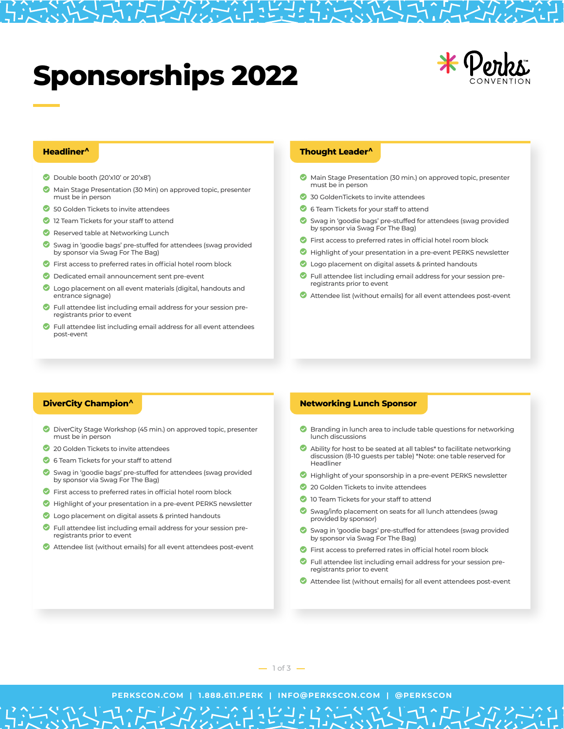# **Sponsorships 2022**



# **Headliner^**

- Double booth (20'x10' or 20'x8')
- ◎ Main Stage Presentation (30 Min) on approved topic, presenter must be in person
- ◎ 50 Golden Tickets to invite attendees
- **2** 12 Team Tickets for your staff to attend
- Reserved table at Networking Lunch
- ◙ Swag in 'goodie bags' pre-stuffed for attendees (swag provided by sponsor via Swag For The Bag)
- First access to preferred rates in official hotel room block
- $\bullet$ Dedicated email announcement sent pre-event
- $\bullet$ Logo placement on all event materials (digital, handouts and entrance signage)
- $\bullet$ Full attendee list including email address for your session preregistrants prior to event
- $\bullet$ Full attendee list including email address for all event attendees post-event

## **Thought Leader^**

- Main Stage Presentation (30 min.) on approved topic, presenter must be in person
- 30 GoldenTickets to invite attendees
- **6** Team Tickets for your staff to attend
- ◎ Swag in 'goodie bags' pre-stuffed for attendees (swag provided by sponsor via Swag For The Bag)
- First access to preferred rates in official hotel room block
- Highlight of your presentation in a pre-event PERKS newsletter
- **C** Logo placement on digital assets & printed handouts
- Full attendee list including email address for your session preregistrants prior to event
- Attendee list (without emails) for all event attendees post-event

## **DiverCity Champion^**

- DiverCity Stage Workshop (45 min.) on approved topic, presenter must be in person
- 20 Golden Tickets to invite attendees
- $\bullet$ 6 Team Tickets for your staff to attend
- $\bullet$ Swag in 'goodie bags' pre-stuffed for attendees (swag provided by sponsor via Swag For The Bag)
- $\bullet$ First access to preferred rates in official hotel room block
- Highlight of your presentation in a pre-event PERKS newsletter
- **C** Logo placement on digital assets & printed handouts
- ◎ Full attendee list including email address for your session preregistrants prior to event
- Attendee list (without emails) for all event attendees post-event

# **Networking Lunch Sponsor**

- Branding in lunch area to include table questions for networking lunch discussions
- Ability for host to be seated at all tables\* to facilitate networking discussion (8-10 guests per table) \*Note: one table reserved for Headliner
- Highlight of your sponsorship in a pre-event PERKS newsletter
- 20 Golden Tickets to invite attendees
- **10 Team Tickets for your staff to attend**
- Swag/info placement on seats for all lunch attendees (swag provided by sponsor)
- ◎ Swag in 'goodie bags' pre-stuffed for attendees (swag provided by sponsor via Swag For The Bag)
- First access to preferred rates in official hotel room block
- Full attendee list including email address for your session preregistrants prior to event
- Attendee list (without emails) for all event attendees post-event

**PERKSCON.COM | 1.888.611.PERK | INFO@PERKSCON.COM | @PERKSCON**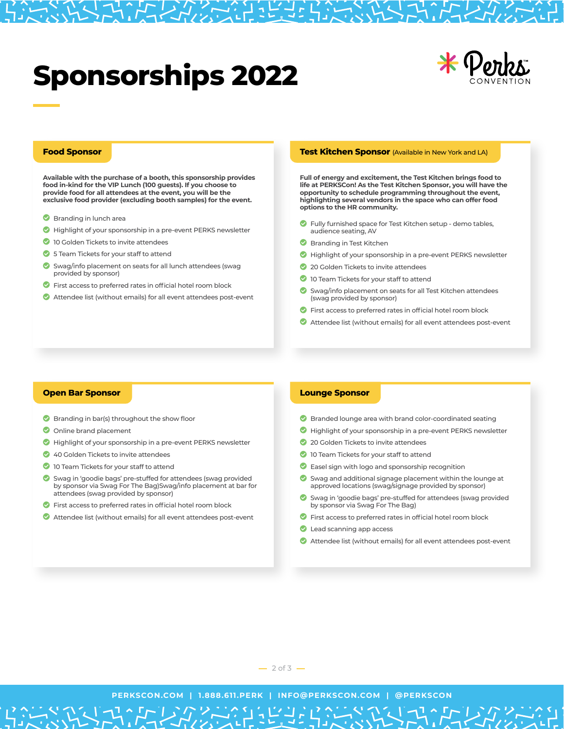# **Sponsorships 2022**



# **Food Sponsor**

**Available with the purchase of a booth, this sponsorship provides food in-kind for the VIP Lunch (100 guests). If you choose to provide food for all attendees at the event, you will be the exclusive food provider (excluding booth samples) for the event.**

- **Branding in lunch area**
- Highlight of your sponsorship in a pre-event PERKS newsletter
- **2** 10 Golden Tickets to invite attendees
- **3** 5 Team Tickets for your staff to attend
- $\bullet$ Swag/info placement on seats for all lunch attendees (swag provided by sponsor)
- $\bullet$ First access to preferred rates in official hotel room block
- Attendee list (without emails) for all event attendees post-event

#### **Test Kitchen Sponsor** (Available in New York and LA)

**Full of energy and excitement, the Test Kitchen brings food to life at PERKSCon! As the Test Kitchen Sponsor, you will have the opportunity to schedule programming throughout the event, highlighting several vendors in the space who can offer food options to the HR community.**

- ◎ Fully furnished space for Test Kitchen setup - demo tables, audience seating, AV
- **Branding in Test Kitchen**
- Highlight of your sponsorship in a pre-event PERKS newsletter
- 20 Golden Tickets to invite attendees
- **10 Team Tickets for your staff to attend**
- Swag/info placement on seats for all Test Kitchen attendees (swag provided by sponsor)
- First access to preferred rates in official hotel room block
- Attendee list (without emails) for all event attendees post-event

## **Open Bar Sponsor**

- Branding in bar(s) throughout the show floor
- Online brand placement
- Highlight of your sponsorship in a pre-event PERKS newsletter
- 40 Golden Tickets to invite attendees
- **10 Team Tickets for your staff to attend**
- $\bullet$ Swag in 'goodie bags' pre-stuffed for attendees (swag provided by sponsor via Swag For The Bag)Swag/info placement at bar for attendees (swag provided by sponsor)
- $\bullet$ First access to preferred rates in official hotel room block
- Attendee list (without emails) for all event attendees post-event

## **Lounge Sponsor**

- **Branded lounge area with brand color-coordinated seating**
- Highlight of your sponsorship in a pre-event PERKS newsletter
- 20 Golden Tickets to invite attendees
- **2** 10 Team Tickets for your staff to attend
- **C** Easel sign with logo and sponsorship recognition
- Swag and additional signage placement within the lounge at approved locations (swag/signage provided by sponsor)
- ◎ Swag in 'goodie bags' pre-stuffed for attendees (swag provided by sponsor via Swag For The Bag)
- First access to preferred rates in official hotel room block
- **C** Lead scanning app access
- Attendee list (without emails) for all event attendees post-event

 $\sum_{1}^{1} \sum_{\zeta}$ 

**PERKSCON.COM | 1.888.611.PERK | INFO@PERKSCON.COM | @PERKSCON**